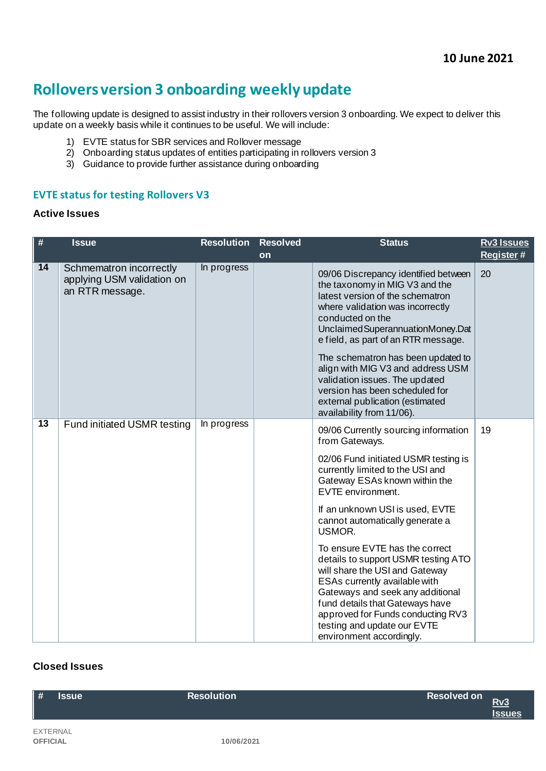# **Rollovers version 3 onboarding weekly update**

The following update is designed to assist industry in their rollovers version 3 onboarding. We expect to deliver this update on a weekly basis while it continues to be useful. We will include:

- 1) EVTE status for SBR services and Rollover message
- 2) Onboarding status updates of entities participating in rollovers version 3
- 3) Guidance to provide further assistance during onboarding

#### **EVTE status for testing Rollovers V3**

#### **Active Issues**

| $\#$            | <b>Issue</b>                                                             | <b>Resolution</b> | <b>Resolved</b> | <b>Status</b>                                                                                                                                                                                                                                                                                                                                                                                                                                                   | <b>Rv3 Issues</b> |
|-----------------|--------------------------------------------------------------------------|-------------------|-----------------|-----------------------------------------------------------------------------------------------------------------------------------------------------------------------------------------------------------------------------------------------------------------------------------------------------------------------------------------------------------------------------------------------------------------------------------------------------------------|-------------------|
|                 |                                                                          |                   | on              |                                                                                                                                                                                                                                                                                                                                                                                                                                                                 | Register#         |
| 14              | Schmematron incorrectly<br>applying USM validation on<br>an RTR message. | In progress       |                 | 09/06 Discrepancy identified between<br>the taxonomy in MIG V3 and the<br>latest version of the schematron<br>where validation was incorrectly<br>conducted on the<br>Unclaimed Superannuation Money. Dat<br>e field, as part of an RTR message.<br>The schematron has been updated to<br>align with MIG V3 and address USM<br>validation issues. The updated<br>version has been scheduled for<br>external publication (estimated<br>availability from 11/06). | 20                |
| $\overline{13}$ | Fund initiated USMR testing                                              | In progress       |                 | 09/06 Currently sourcing information<br>from Gateways.<br>02/06 Fund initiated USMR testing is<br>currently limited to the USI and<br>Gateway ESAs known within the<br>EVTE environment.<br>If an unknown USI is used, EVTE<br>cannot automatically generate a<br>USMOR.<br>To ensure EVTE has the correct<br>details to support USMR testing ATO<br>will share the USI and Gateway<br>ESAs currently available with<br>Gateways and seek any additional        | 19                |
|                 |                                                                          |                   |                 | fund details that Gateways have<br>approved for Funds conducting RV3<br>testing and update our EVTE<br>environment accordingly.                                                                                                                                                                                                                                                                                                                                 |                   |

## **Closed Issues**

| $\parallel$ #<br><b>Issue</b> | <b>Resolution</b> | <b>Resolved on</b><br>Rv3<br><b>Issues</b> |
|-------------------------------|-------------------|--------------------------------------------|
| EXTERNAL<br><b>OFFICIAL</b>   | 10/06/2021        |                                            |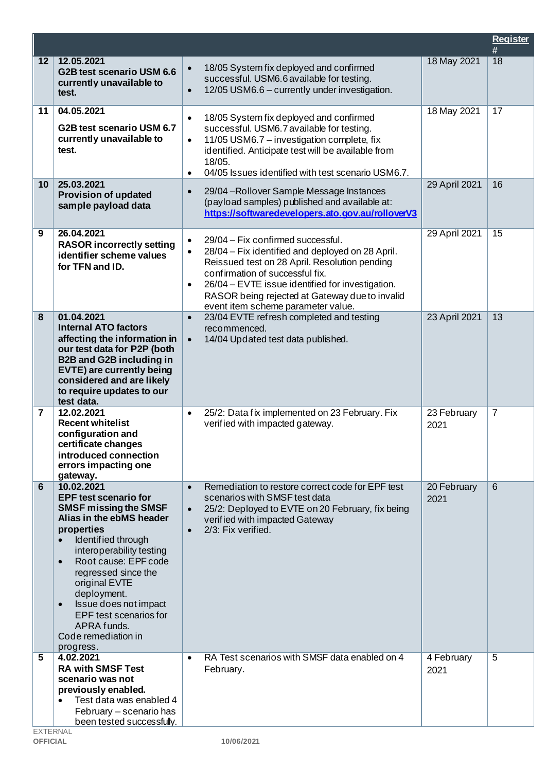|    |                                                                                                                                                                                                                                                                                                                                                                                       |                                                                                                                                                                                                                                                                                                                                                              |                     | <b>Register</b><br># |
|----|---------------------------------------------------------------------------------------------------------------------------------------------------------------------------------------------------------------------------------------------------------------------------------------------------------------------------------------------------------------------------------------|--------------------------------------------------------------------------------------------------------------------------------------------------------------------------------------------------------------------------------------------------------------------------------------------------------------------------------------------------------------|---------------------|----------------------|
| 12 | 12.05.2021<br>G2B test scenario USM 6.6<br>currently unavailable to<br>test.                                                                                                                                                                                                                                                                                                          | 18/05 System fix deployed and confirmed<br>$\bullet$<br>successful. USM6.6 available for testing.<br>12/05 USM6.6 - currently under investigation.<br>$\bullet$                                                                                                                                                                                              | 18 May 2021         | 18                   |
| 11 | 04.05.2021<br>G2B test scenario USM 6.7<br>currently unavailable to<br>test.                                                                                                                                                                                                                                                                                                          | 18/05 System fix deployed and confirmed<br>$\bullet$<br>successful. USM6.7 available for testing.<br>11/05 USM6.7 - investigation complete, fix<br>$\bullet$<br>identified. Anticipate test will be available from<br>18/05.<br>04/05 Issues identified with test scenario USM6.7.<br>$\bullet$                                                              | 18 May 2021         | 17                   |
| 10 | 25.03.2021<br><b>Provision of updated</b><br>sample payload data                                                                                                                                                                                                                                                                                                                      | 29/04 - Rollover Sample Message Instances<br>$\bullet$<br>(payload samples) published and available at:<br>https://softwaredevelopers.ato.gov.au/rolloverV3                                                                                                                                                                                                  | 29 April 2021       | 16                   |
| 9  | 26.04.2021<br><b>RASOR incorrectly setting</b><br>identifier scheme values<br>for TFN and ID.                                                                                                                                                                                                                                                                                         | 29/04 - Fix confirmed successful.<br>$\bullet$<br>28/04 – Fix identified and deployed on 28 April.<br>$\bullet$<br>Reissued test on 28 April. Resolution pending<br>confirmation of successful fix.<br>26/04 - EVTE issue identified for investigation.<br>$\bullet$<br>RASOR being rejected at Gateway due to invalid<br>event item scheme parameter value. | 29 April 2021       | 15                   |
| 8  | 01.04.2021<br><b>Internal ATO factors</b><br>affecting the information in<br>our test data for P2P (both<br><b>B2B and G2B including in</b><br>EVTE) are currently being<br>considered and are likely<br>to require updates to our<br>test data.                                                                                                                                      | 23/04 EVTE refresh completed and testing<br>$\bullet$<br>recommenced.<br>14/04 Updated test data published.<br>$\bullet$                                                                                                                                                                                                                                     | 23 April 2021       | 13                   |
| 7  | 12.02.2021<br><b>Recent whitelist</b><br>configuration and<br>certificate changes<br>introduced connection<br>errors impacting one<br>gateway.                                                                                                                                                                                                                                        | 25/2: Data fix implemented on 23 February. Fix<br>$\bullet$<br>verified with impacted gateway.                                                                                                                                                                                                                                                               | 23 February<br>2021 | $\overline{7}$       |
| 6  | 10.02.2021<br><b>EPF test scenario for</b><br><b>SMSF missing the SMSF</b><br>Alias in the ebMS header<br>properties<br>Identified through<br>interoperability testing<br>Root cause: EPF code<br>$\bullet$<br>regressed since the<br>original EVTE<br>deployment.<br>Issue does not impact<br>$\bullet$<br>EPF test scenarios for<br>APRA funds.<br>Code remediation in<br>progress. | Remediation to restore correct code for EPF test<br>$\bullet$<br>scenarios with SMSF test data<br>25/2: Deployed to EVTE on 20 February, fix being<br>$\bullet$<br>verified with impacted Gateway<br>2/3: Fix verified.<br>$\bullet$                                                                                                                         | 20 February<br>2021 | 6                    |
| 5  | 4.02.2021<br><b>RA with SMSF Test</b><br>scenario was not<br>previously enabled.<br>Test data was enabled 4<br>February - scenario has<br>been tested successfully.                                                                                                                                                                                                                   | RA Test scenarios with SMSF data enabled on 4<br>$\bullet$<br>February.                                                                                                                                                                                                                                                                                      | 4 February<br>2021  | 5                    |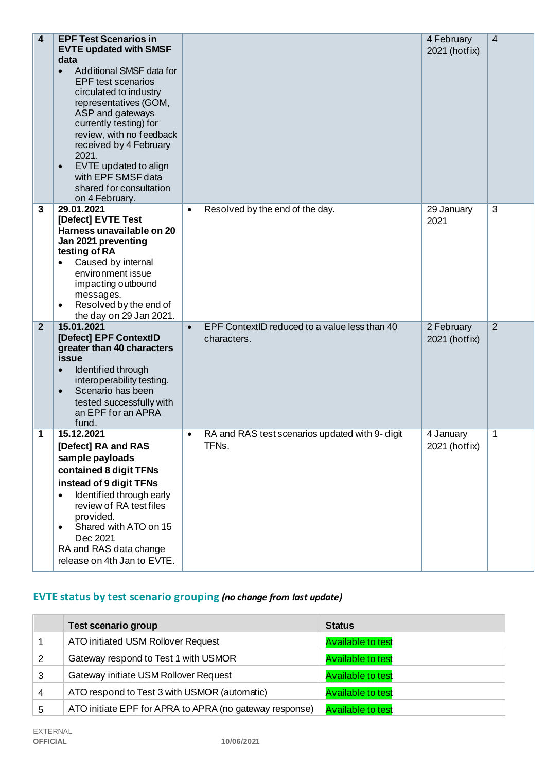| $\overline{\mathbf{4}}$ | <b>EPF Test Scenarios in</b><br><b>EVTE updated with SMSF</b><br>data<br>Additional SMSF data for<br>$\bullet$<br><b>EPF</b> test scenarios<br>circulated to industry<br>representatives (GOM,<br>ASP and gateways<br>currently testing) for<br>review, with no feedback<br>received by 4 February<br>2021.<br>EVTE updated to align<br>$\bullet$<br>with EPF SMSF data<br>shared for consultation<br>on 4 February. |                                                                           | 4 February<br>2021 (hotfix) | $\overline{4}$ |
|-------------------------|----------------------------------------------------------------------------------------------------------------------------------------------------------------------------------------------------------------------------------------------------------------------------------------------------------------------------------------------------------------------------------------------------------------------|---------------------------------------------------------------------------|-----------------------------|----------------|
| 3                       | 29.01.2021<br>[Defect] EVTE Test<br>Harness unavailable on 20<br>Jan 2021 preventing<br>testing of RA<br>Caused by internal<br>environment issue<br>impacting outbound<br>messages.<br>Resolved by the end of<br>the day on 29 Jan 2021.                                                                                                                                                                             | Resolved by the end of the day.<br>$\bullet$                              | 29 January<br>2021          | 3              |
| $\overline{2}$          | 15.01.2021<br>[Defect] EPF ContextID<br>greater than 40 characters<br>issue<br>Identified through<br>$\bullet$<br>interoperability testing.<br>Scenario has been<br>$\bullet$<br>tested successfully with<br>an EPF for an APRA<br>fund.                                                                                                                                                                             | EPF ContextID reduced to a value less than 40<br>$\bullet$<br>characters. | 2 February<br>2021 (hotfix) | $\overline{2}$ |
| 1                       | 15.12.2021<br>[Defect] RA and RAS<br>sample payloads<br>contained 8 digit TFNs<br>instead of 9 digit TFNs<br>Identified through early<br>$\bullet$<br>review of RA test files<br>provided.<br>Shared with ATO on 15<br>$\bullet$<br>Dec 2021<br>RA and RAS data change<br>release on 4th Jan to EVTE.                                                                                                                | RA and RAS test scenarios updated with 9- digit<br>$\bullet$<br>TFNs.     | 4 January<br>2021 (hotfix)  | 1              |

# **EVTE status by test scenario grouping** *(no change from last update)*

|   | <b>Test scenario group</b>                              | <b>Status</b>            |
|---|---------------------------------------------------------|--------------------------|
|   | ATO initiated USM Rollover Request                      | <b>Available to test</b> |
| 2 | Gateway respond to Test 1 with USMOR                    | <b>Available to test</b> |
| 3 | Gateway initiate USM Rollover Request                   | <b>Available to test</b> |
| 4 | ATO respond to Test 3 with USMOR (automatic)            | <b>Available to test</b> |
| 5 | ATO initiate EPF for APRA to APRA (no gateway response) | <b>Available to test</b> |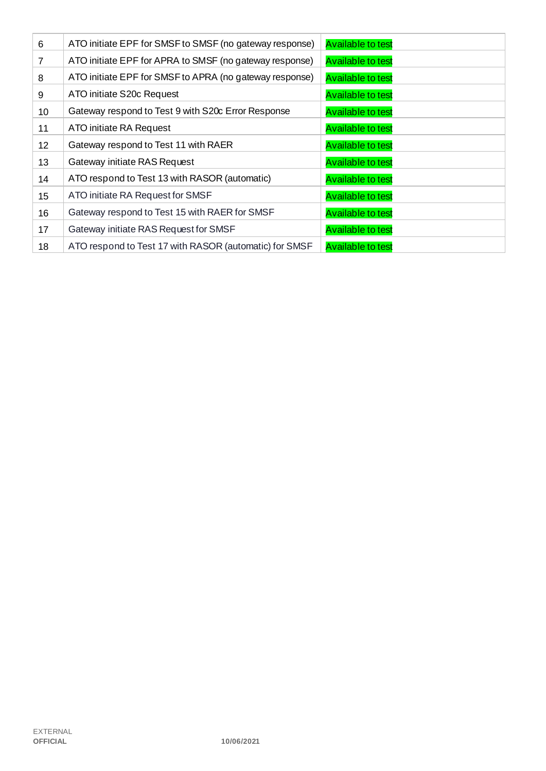| 6               | ATO initiate EPF for SMSF to SMSF (no gateway response) | <b>Available to test</b> |
|-----------------|---------------------------------------------------------|--------------------------|
| 7               | ATO initiate EPF for APRA to SMSF (no gateway response) | <b>Available to test</b> |
| 8               | ATO initiate EPF for SMSF to APRA (no gateway response) | <b>Available to test</b> |
| 9               | ATO initiate S20c Request                               | <b>Available to test</b> |
| 10              | Gateway respond to Test 9 with S20c Error Response      | <b>Available to test</b> |
| 11              | ATO initiate RA Request                                 | <b>Available to test</b> |
| 12 <sub>2</sub> | Gateway respond to Test 11 with RAER                    | <b>Available to test</b> |
| 13              | Gateway initiate RAS Request                            | <b>Available to test</b> |
| 14              | ATO respond to Test 13 with RASOR (automatic)           | <b>Available to test</b> |
| 15              | ATO initiate RA Request for SMSF                        | <b>Available to test</b> |
| 16              | Gateway respond to Test 15 with RAER for SMSF           | <b>Available to test</b> |
| 17              | Gateway initiate RAS Request for SMSF                   | <b>Available to test</b> |
| 18              | ATO respond to Test 17 with RASOR (automatic) for SMSF  | <b>Available to test</b> |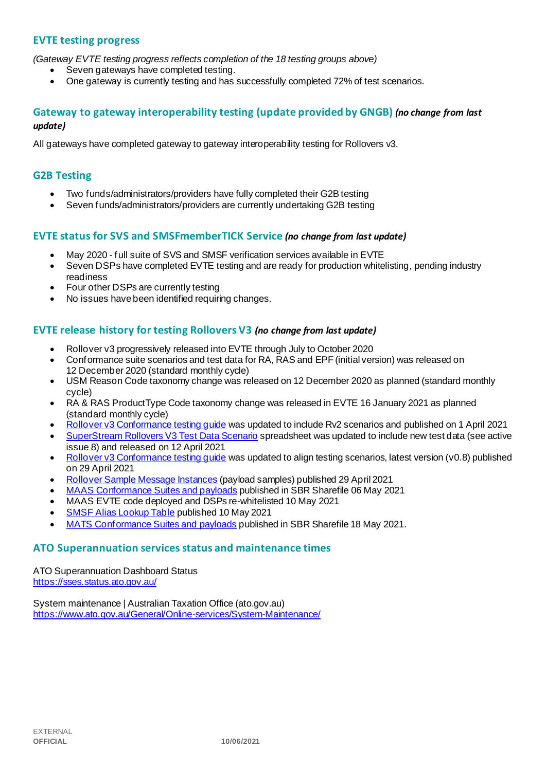## **EVTE testing progress**

*(Gateway EVTE testing progress reflects completion of the 18 testing groups above)*

- Seven gateways have completed testing.
- One gateway is currently testing and has successfully completed 72% of test scenarios.

#### **Gateway to gateway interoperability testing (update provided by GNGB)** *(no change from last update)*

All gateways have completed gateway to gateway interoperability testing for Rollovers v3.

#### **G2B Testing**

- Two funds/administrators/providers have fully completed their G2B testing
- Seven funds/administrators/providers are currently undertaking G2B testing

#### **EVTE status for SVS and SMSFmemberTICK Service** *(no change from last update)*

- May 2020 full suite of SVS and SMSF verification services available in EVTE
- Seven DSPs have completed EVTE testing and are ready for production whitelisting, pending industry readiness
- Four other DSPs are currently testing
- No issues have been identified requiring changes.

#### **EVTE release history for testing Rollovers V3** *(no change from last update)*

- Rollover v3 progressively released into EVTE through July to October 2020
- Conformance suite scenarios and test data for RA, RAS and EPF (initial version) was released on 12 December 2020 (standard monthly cycle)
- USM Reason Code taxonomy change was released on 12 December 2020 as planned (standard monthly cycle)
- RA & RAS ProductType Code taxonomy change was released in EVTE 16 January 2021 as planned (standard monthly cycle)
- [Rollover v3 Conformance testing guide](https://softwaredevelopers.ato.gov.au/rolloverV3) was updated to include Rv2 scenarios and published on 1 April 2021
- [SuperStream Rollovers V3 Test Data Scenario](https://softwaredevelopers.ato.gov.au/sites/default/files/2021-04/SuperStream_RolloversV3_Test_Data_Scenario_V1.0.xlsx) spreadsheet was updated to include new test data (see active issue 8) and released on 12 April 2021
- [Rollover v3 Conformance testing guide](https://softwaredevelopers.ato.gov.au/rolloverV3) was updated to align testing scenarios, latest version (v0.8) published on 29 April 2021
- [Rollover Sample Message Instances](https://softwaredevelopers.ato.gov.au/rolloverV3) (payload samples) published 29 April 2021
- [MAAS Conformance Suites and payloads](https://standardbusinessreporting.sharefile.com/home/shared/fod63f12-7bbb-4c61-96e7-33dc9eae4d9a) published in SBR Sharefile 06 May 2021
- MAAS EVTE code deployed and DSPs re-whitelisted 10 May 2021
- [SMSF Alias Lookup Table](https://softwaredevelopers.ato.gov.au/supervalidationservices) published 10 May 2021
- [MATS Conformance Suites and payloads](http://standardbusinessreporting.sharefile.com/) published in SBR Sharefile 18 May 2021.

#### **ATO Superannuation servicesstatus and maintenance times**

[ATO Superannuation Dashboard Status](https://sses.status.ato.gov.au/) <https://sses.status.ato.gov.au/>

[System maintenance | Australian Taxation Office \(ato.gov.au\)](https://www.ato.gov.au/General/Online-services/System-Maintenance/) <https://www.ato.gov.au/General/Online-services/System-Maintenance/>